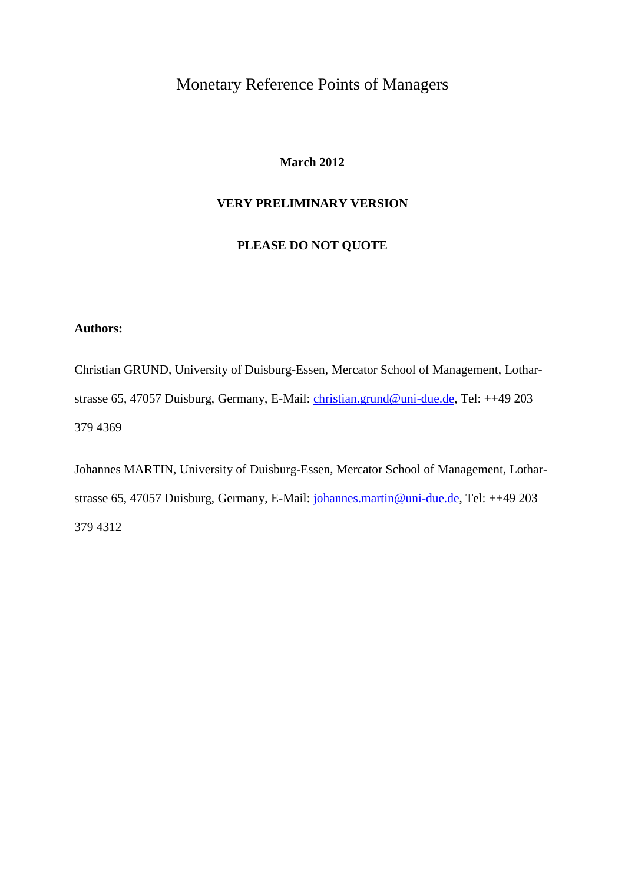## Monetary Reference Points of Managers

#### **March 2012**

### **VERY PRELIMINARY VERSION**

### **PLEASE DO NOT QUOTE**

### **Authors:**

Christian GRUND, University of Duisburg-Essen, Mercator School of Management, Lotharstrasse 65, 47057 Duisburg, Germany, E-Mail: [christian.grund@uni-due.de,](mailto:christian.grund@uni-due.de) Tel: ++49 203 379 4369

Johannes MARTIN, University of Duisburg-Essen, Mercator School of Management, Lotharstrasse 65, 47057 Duisburg, Germany, E-Mail: [johannes.martin@uni-due.de,](mailto:johannes.martin@uni-due.de) Tel: ++49 203 379 4312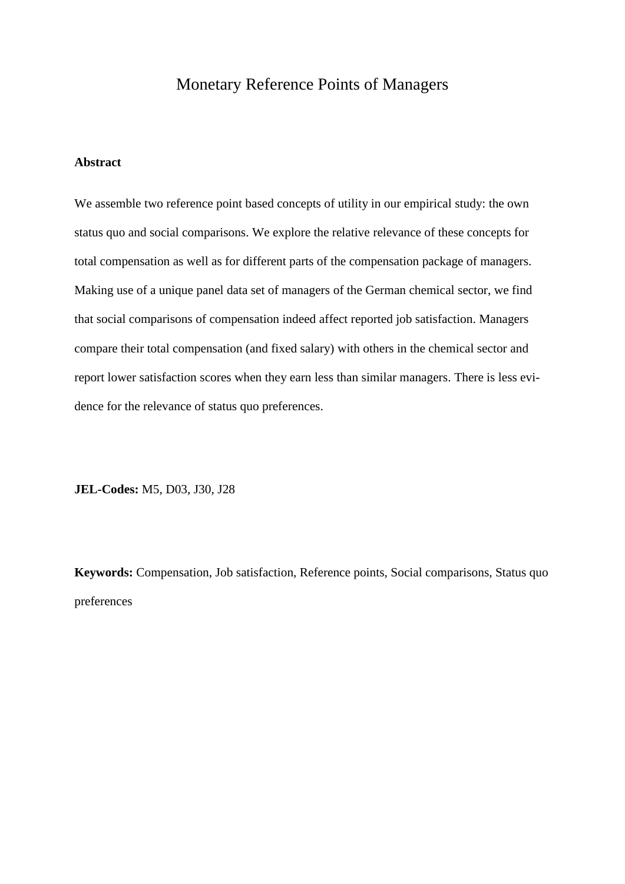## Monetary Reference Points of Managers

#### **Abstract**

We assemble two reference point based concepts of utility in our empirical study: the own status quo and social comparisons. We explore the relative relevance of these concepts for total compensation as well as for different parts of the compensation package of managers. Making use of a unique panel data set of managers of the German chemical sector, we find that social comparisons of compensation indeed affect reported job satisfaction. Managers compare their total compensation (and fixed salary) with others in the chemical sector and report lower satisfaction scores when they earn less than similar managers. There is less evidence for the relevance of status quo preferences.

**JEL-Codes:** M5, D03, J30, J28

**Keywords:** Compensation, Job satisfaction, Reference points, Social comparisons, Status quo preferences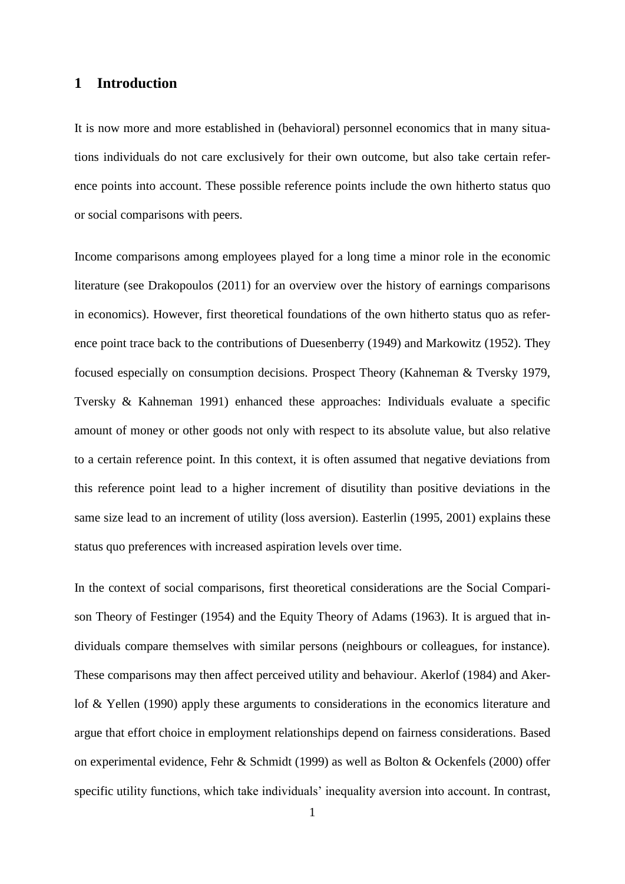### **1 Introduction**

It is now more and more established in (behavioral) personnel economics that in many situations individuals do not care exclusively for their own outcome, but also take certain reference points into account. These possible reference points include the own hitherto status quo or social comparisons with peers.

Income comparisons among employees played for a long time a minor role in the economic literature (see Drakopoulos (2011) for an overview over the history of earnings comparisons in economics). However, first theoretical foundations of the own hitherto status quo as reference point trace back to the contributions of Duesenberry (1949) and Markowitz (1952). They focused especially on consumption decisions. Prospect Theory (Kahneman & Tversky 1979, Tversky & Kahneman 1991) enhanced these approaches: Individuals evaluate a specific amount of money or other goods not only with respect to its absolute value, but also relative to a certain reference point. In this context, it is often assumed that negative deviations from this reference point lead to a higher increment of disutility than positive deviations in the same size lead to an increment of utility (loss aversion). Easterlin (1995, 2001) explains these status quo preferences with increased aspiration levels over time.

In the context of social comparisons, first theoretical considerations are the Social Comparison Theory of Festinger (1954) and the Equity Theory of Adams (1963). It is argued that individuals compare themselves with similar persons (neighbours or colleagues, for instance). These comparisons may then affect perceived utility and behaviour. Akerlof (1984) and Akerlof & Yellen (1990) apply these arguments to considerations in the economics literature and argue that effort choice in employment relationships depend on fairness considerations. Based on experimental evidence, Fehr & Schmidt (1999) as well as Bolton & Ockenfels (2000) offer specific utility functions, which take individuals' inequality aversion into account. In contrast,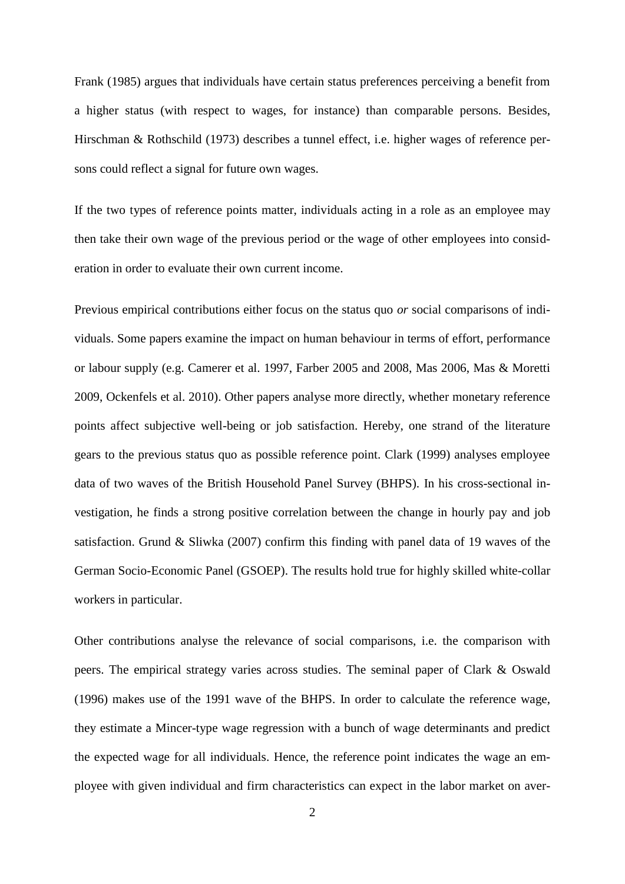Frank (1985) argues that individuals have certain status preferences perceiving a benefit from a higher status (with respect to wages, for instance) than comparable persons. Besides, Hirschman & Rothschild (1973) describes a tunnel effect, i.e. higher wages of reference persons could reflect a signal for future own wages.

If the two types of reference points matter, individuals acting in a role as an employee may then take their own wage of the previous period or the wage of other employees into consideration in order to evaluate their own current income.

Previous empirical contributions either focus on the status quo *or* social comparisons of individuals. Some papers examine the impact on human behaviour in terms of effort, performance or labour supply (e.g. Camerer et al. 1997, Farber 2005 and 2008, Mas 2006, Mas & Moretti 2009, Ockenfels et al. 2010). Other papers analyse more directly, whether monetary reference points affect subjective well-being or job satisfaction. Hereby, one strand of the literature gears to the previous status quo as possible reference point. Clark (1999) analyses employee data of two waves of the British Household Panel Survey (BHPS). In his cross-sectional investigation, he finds a strong positive correlation between the change in hourly pay and job satisfaction. Grund & Sliwka (2007) confirm this finding with panel data of 19 waves of the German Socio-Economic Panel (GSOEP). The results hold true for highly skilled white-collar workers in particular.

Other contributions analyse the relevance of social comparisons, i.e. the comparison with peers. The empirical strategy varies across studies. The seminal paper of Clark & Oswald (1996) makes use of the 1991 wave of the BHPS. In order to calculate the reference wage, they estimate a Mincer-type wage regression with a bunch of wage determinants and predict the expected wage for all individuals. Hence, the reference point indicates the wage an employee with given individual and firm characteristics can expect in the labor market on aver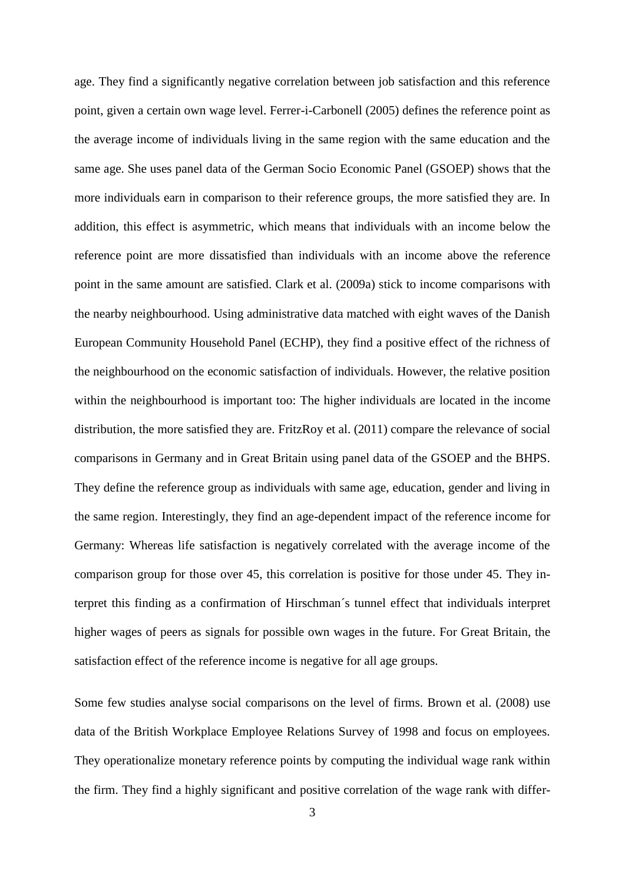age. They find a significantly negative correlation between job satisfaction and this reference point, given a certain own wage level. Ferrer-i-Carbonell (2005) defines the reference point as the average income of individuals living in the same region with the same education and the same age. She uses panel data of the German Socio Economic Panel (GSOEP) shows that the more individuals earn in comparison to their reference groups, the more satisfied they are. In addition, this effect is asymmetric, which means that individuals with an income below the reference point are more dissatisfied than individuals with an income above the reference point in the same amount are satisfied. Clark et al. (2009a) stick to income comparisons with the nearby neighbourhood. Using administrative data matched with eight waves of the Danish European Community Household Panel (ECHP), they find a positive effect of the richness of the neighbourhood on the economic satisfaction of individuals. However, the relative position within the neighbourhood is important too: The higher individuals are located in the income distribution, the more satisfied they are. FritzRoy et al. (2011) compare the relevance of social comparisons in Germany and in Great Britain using panel data of the GSOEP and the BHPS. They define the reference group as individuals with same age, education, gender and living in the same region. Interestingly, they find an age-dependent impact of the reference income for Germany: Whereas life satisfaction is negatively correlated with the average income of the comparison group for those over 45, this correlation is positive for those under 45. They interpret this finding as a confirmation of Hirschman´s tunnel effect that individuals interpret higher wages of peers as signals for possible own wages in the future. For Great Britain, the satisfaction effect of the reference income is negative for all age groups.

Some few studies analyse social comparisons on the level of firms. Brown et al. (2008) use data of the British Workplace Employee Relations Survey of 1998 and focus on employees. They operationalize monetary reference points by computing the individual wage rank within the firm. They find a highly significant and positive correlation of the wage rank with differ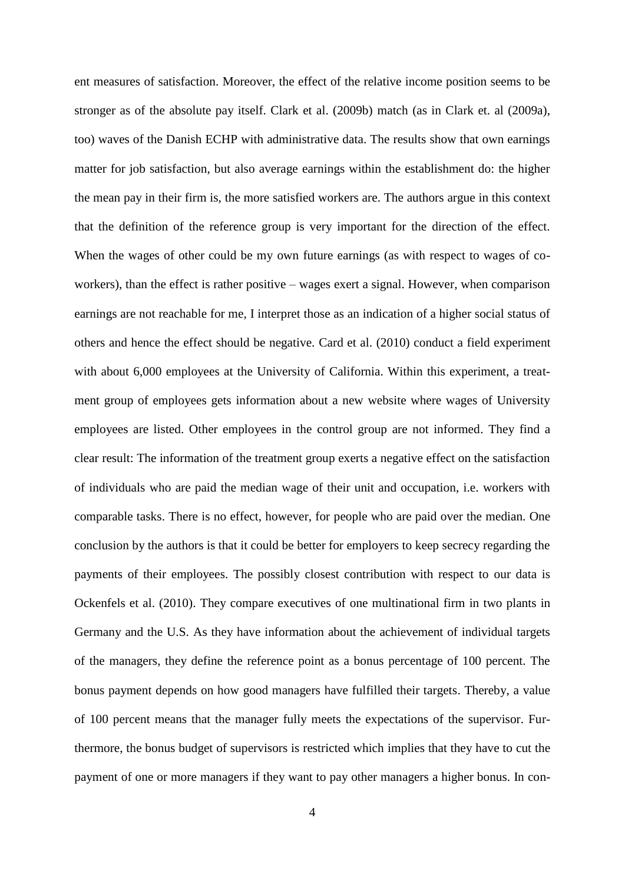ent measures of satisfaction. Moreover, the effect of the relative income position seems to be stronger as of the absolute pay itself. Clark et al. (2009b) match (as in Clark et. al (2009a), too) waves of the Danish ECHP with administrative data. The results show that own earnings matter for job satisfaction, but also average earnings within the establishment do: the higher the mean pay in their firm is, the more satisfied workers are. The authors argue in this context that the definition of the reference group is very important for the direction of the effect. When the wages of other could be my own future earnings (as with respect to wages of coworkers), than the effect is rather positive – wages exert a signal. However, when comparison earnings are not reachable for me, I interpret those as an indication of a higher social status of others and hence the effect should be negative. Card et al. (2010) conduct a field experiment with about 6,000 employees at the University of California. Within this experiment, a treatment group of employees gets information about a new website where wages of University employees are listed. Other employees in the control group are not informed. They find a clear result: The information of the treatment group exerts a negative effect on the satisfaction of individuals who are paid the median wage of their unit and occupation, i.e. workers with comparable tasks. There is no effect, however, for people who are paid over the median. One conclusion by the authors is that it could be better for employers to keep secrecy regarding the payments of their employees. The possibly closest contribution with respect to our data is Ockenfels et al. (2010). They compare executives of one multinational firm in two plants in Germany and the U.S. As they have information about the achievement of individual targets of the managers, they define the reference point as a bonus percentage of 100 percent. The bonus payment depends on how good managers have fulfilled their targets. Thereby, a value of 100 percent means that the manager fully meets the expectations of the supervisor. Furthermore, the bonus budget of supervisors is restricted which implies that they have to cut the payment of one or more managers if they want to pay other managers a higher bonus. In con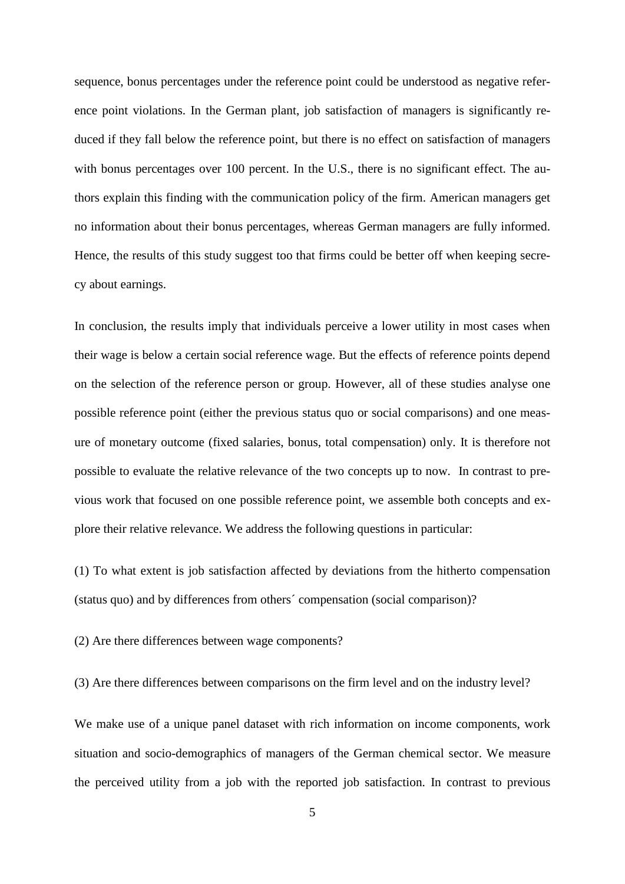sequence, bonus percentages under the reference point could be understood as negative reference point violations. In the German plant, job satisfaction of managers is significantly reduced if they fall below the reference point, but there is no effect on satisfaction of managers with bonus percentages over 100 percent. In the U.S., there is no significant effect. The authors explain this finding with the communication policy of the firm. American managers get no information about their bonus percentages, whereas German managers are fully informed. Hence, the results of this study suggest too that firms could be better off when keeping secrecy about earnings.

In conclusion, the results imply that individuals perceive a lower utility in most cases when their wage is below a certain social reference wage. But the effects of reference points depend on the selection of the reference person or group. However, all of these studies analyse one possible reference point (either the previous status quo or social comparisons) and one measure of monetary outcome (fixed salaries, bonus, total compensation) only. It is therefore not possible to evaluate the relative relevance of the two concepts up to now. In contrast to previous work that focused on one possible reference point, we assemble both concepts and explore their relative relevance. We address the following questions in particular:

(1) To what extent is job satisfaction affected by deviations from the hitherto compensation (status quo) and by differences from others´ compensation (social comparison)?

(2) Are there differences between wage components?

(3) Are there differences between comparisons on the firm level and on the industry level?

We make use of a unique panel dataset with rich information on income components, work situation and socio-demographics of managers of the German chemical sector. We measure the perceived utility from a job with the reported job satisfaction. In contrast to previous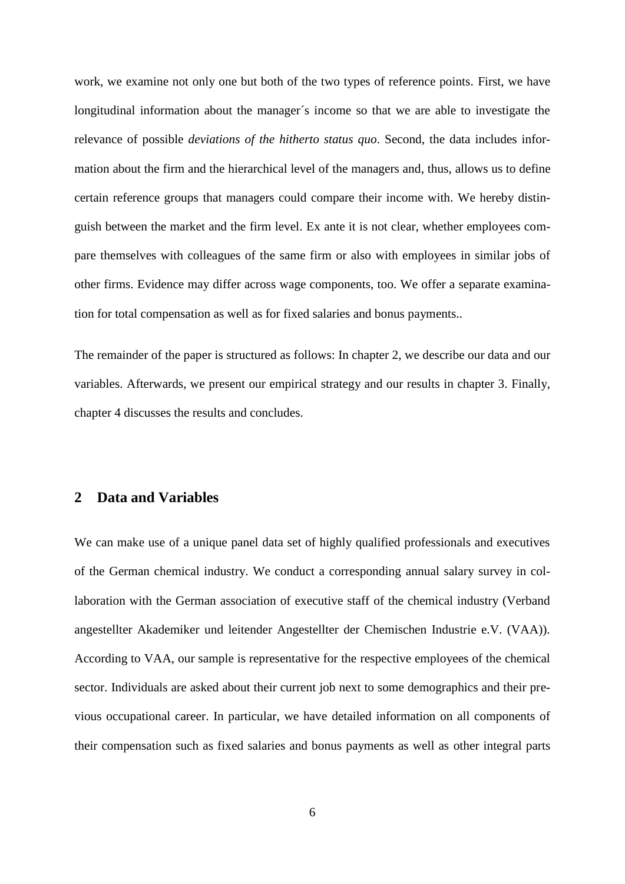work, we examine not only one but both of the two types of reference points. First, we have longitudinal information about the manager´s income so that we are able to investigate the relevance of possible *deviations of the hitherto status quo*. Second, the data includes information about the firm and the hierarchical level of the managers and, thus, allows us to define certain reference groups that managers could compare their income with. We hereby distinguish between the market and the firm level. Ex ante it is not clear, whether employees compare themselves with colleagues of the same firm or also with employees in similar jobs of other firms. Evidence may differ across wage components, too. We offer a separate examination for total compensation as well as for fixed salaries and bonus payments..

The remainder of the paper is structured as follows: In chapter 2, we describe our data and our variables. Afterwards, we present our empirical strategy and our results in chapter 3. Finally, chapter 4 discusses the results and concludes.

### **2 Data and Variables**

We can make use of a unique panel data set of highly qualified professionals and executives of the German chemical industry. We conduct a corresponding annual salary survey in collaboration with the German association of executive staff of the chemical industry (Verband angestellter Akademiker und leitender Angestellter der Chemischen Industrie e.V. (VAA)). According to VAA, our sample is representative for the respective employees of the chemical sector. Individuals are asked about their current job next to some demographics and their previous occupational career. In particular, we have detailed information on all components of their compensation such as fixed salaries and bonus payments as well as other integral parts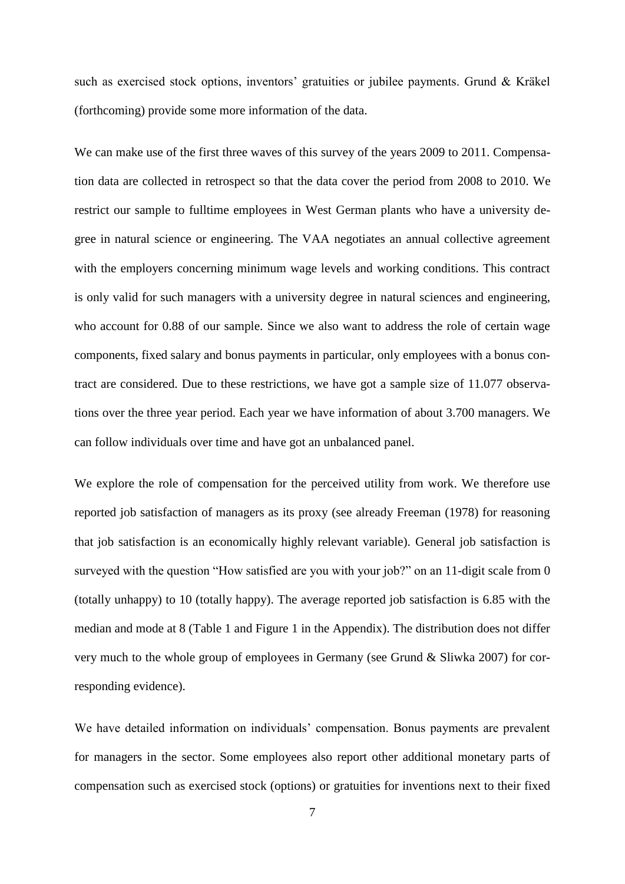such as exercised stock options, inventors' gratuities or jubilee payments. Grund & Kräkel (forthcoming) provide some more information of the data.

We can make use of the first three waves of this survey of the years 2009 to 2011. Compensation data are collected in retrospect so that the data cover the period from 2008 to 2010. We restrict our sample to fulltime employees in West German plants who have a university degree in natural science or engineering. The VAA negotiates an annual collective agreement with the employers concerning minimum wage levels and working conditions. This contract is only valid for such managers with a university degree in natural sciences and engineering, who account for 0.88 of our sample. Since we also want to address the role of certain wage components, fixed salary and bonus payments in particular, only employees with a bonus contract are considered. Due to these restrictions, we have got a sample size of 11.077 observations over the three year period. Each year we have information of about 3.700 managers. We can follow individuals over time and have got an unbalanced panel.

We explore the role of compensation for the perceived utility from work. We therefore use reported job satisfaction of managers as its proxy (see already Freeman (1978) for reasoning that job satisfaction is an economically highly relevant variable). General job satisfaction is surveyed with the question "How satisfied are you with your job?" on an 11-digit scale from 0 (totally unhappy) to 10 (totally happy). The average reported job satisfaction is 6.85 with the median and mode at 8 (Table 1 and Figure 1 in the Appendix). The distribution does not differ very much to the whole group of employees in Germany (see Grund & Sliwka 2007) for corresponding evidence).

We have detailed information on individuals' compensation. Bonus payments are prevalent for managers in the sector. Some employees also report other additional monetary parts of compensation such as exercised stock (options) or gratuities for inventions next to their fixed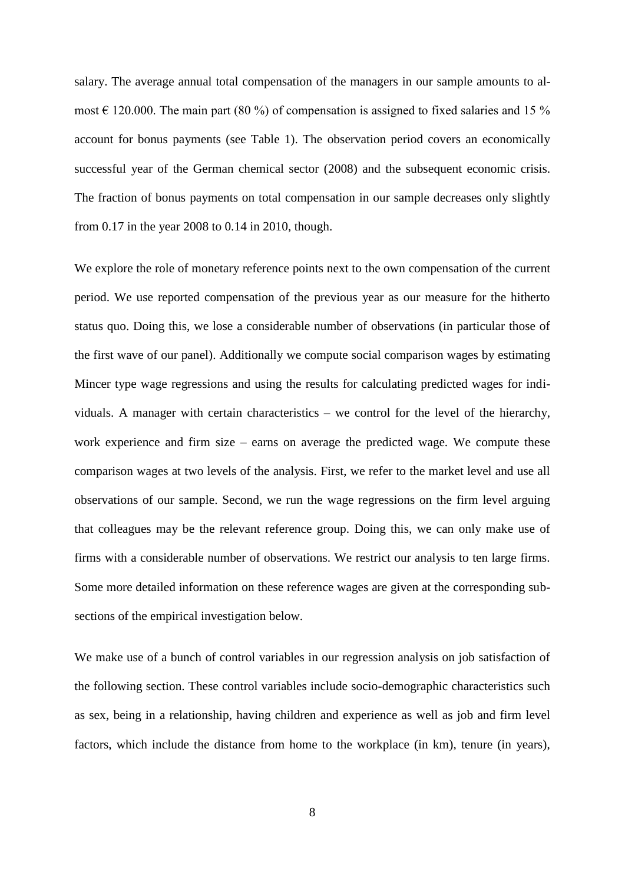salary. The average annual total compensation of the managers in our sample amounts to almost  $\in$  120.000. The main part (80 %) of compensation is assigned to fixed salaries and 15 % account for bonus payments (see Table 1). The observation period covers an economically successful year of the German chemical sector (2008) and the subsequent economic crisis. The fraction of bonus payments on total compensation in our sample decreases only slightly from 0.17 in the year 2008 to 0.14 in 2010, though.

We explore the role of monetary reference points next to the own compensation of the current period. We use reported compensation of the previous year as our measure for the hitherto status quo. Doing this, we lose a considerable number of observations (in particular those of the first wave of our panel). Additionally we compute social comparison wages by estimating Mincer type wage regressions and using the results for calculating predicted wages for individuals. A manager with certain characteristics – we control for the level of the hierarchy, work experience and firm size – earns on average the predicted wage. We compute these comparison wages at two levels of the analysis. First, we refer to the market level and use all observations of our sample. Second, we run the wage regressions on the firm level arguing that colleagues may be the relevant reference group. Doing this, we can only make use of firms with a considerable number of observations. We restrict our analysis to ten large firms. Some more detailed information on these reference wages are given at the corresponding subsections of the empirical investigation below.

We make use of a bunch of control variables in our regression analysis on job satisfaction of the following section. These control variables include socio-demographic characteristics such as sex, being in a relationship, having children and experience as well as job and firm level factors, which include the distance from home to the workplace (in km), tenure (in years),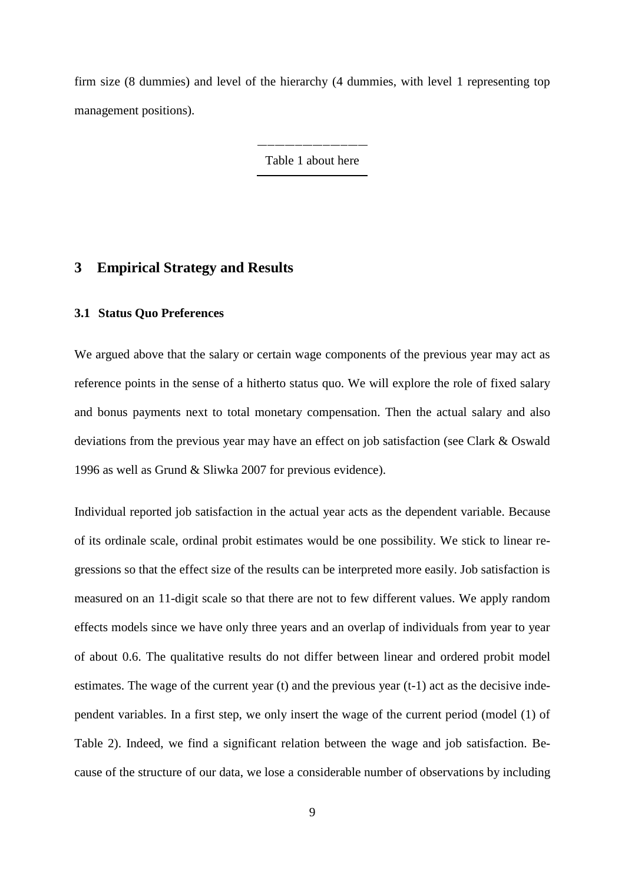firm size (8 dummies) and level of the hierarchy (4 dummies, with level 1 representing top management positions).

Table 1 about here

### **3 Empirical Strategy and Results**

#### **3.1 Status Quo Preferences**

We argued above that the salary or certain wage components of the previous year may act as reference points in the sense of a hitherto status quo. We will explore the role of fixed salary and bonus payments next to total monetary compensation. Then the actual salary and also deviations from the previous year may have an effect on job satisfaction (see Clark & Oswald 1996 as well as Grund & Sliwka 2007 for previous evidence).

Individual reported job satisfaction in the actual year acts as the dependent variable. Because of its ordinale scale, ordinal probit estimates would be one possibility. We stick to linear regressions so that the effect size of the results can be interpreted more easily. Job satisfaction is measured on an 11-digit scale so that there are not to few different values. We apply random effects models since we have only three years and an overlap of individuals from year to year of about 0.6. The qualitative results do not differ between linear and ordered probit model estimates. The wage of the current year (t) and the previous year (t-1) act as the decisive independent variables. In a first step, we only insert the wage of the current period (model (1) of Table 2). Indeed, we find a significant relation between the wage and job satisfaction. Because of the structure of our data, we lose a considerable number of observations by including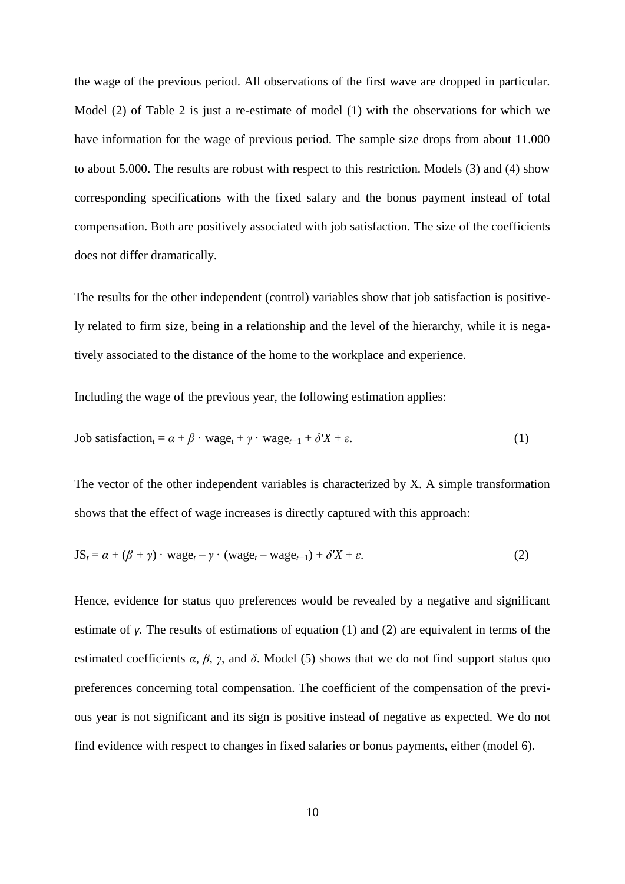the wage of the previous period. All observations of the first wave are dropped in particular. Model (2) of Table 2 is just a re-estimate of model (1) with the observations for which we have information for the wage of previous period. The sample size drops from about 11.000 to about 5.000. The results are robust with respect to this restriction. Models (3) and (4) show corresponding specifications with the fixed salary and the bonus payment instead of total compensation. Both are positively associated with job satisfaction. The size of the coefficients does not differ dramatically.

The results for the other independent (control) variables show that job satisfaction is positively related to firm size, being in a relationship and the level of the hierarchy, while it is negatively associated to the distance of the home to the workplace and experience.

Including the wage of the previous year, the following estimation applies:

$$
\text{Job satisfaction}_{t} = \alpha + \beta \cdot \text{wage}_{t} + \gamma \cdot \text{wage}_{t-1} + \delta' X + \varepsilon. \tag{1}
$$

The vector of the other independent variables is characterized by X. A simple transformation shows that the effect of wage increases is directly captured with this approach:

$$
JSt = \alpha + (\beta + \gamma) \cdot \text{wage}_{t} - \gamma \cdot (\text{wage}_{t} - \text{wage}_{t-1}) + \delta'X + \varepsilon.
$$
 (2)

Hence, evidence for status quo preferences would be revealed by a negative and significant estimate of *γ.* The results of estimations of equation (1) and (2) are equivalent in terms of the estimated coefficients  $\alpha$ ,  $\beta$ ,  $\gamma$ , and  $\delta$ . Model (5) shows that we do not find support status quo preferences concerning total compensation. The coefficient of the compensation of the previous year is not significant and its sign is positive instead of negative as expected. We do not find evidence with respect to changes in fixed salaries or bonus payments, either (model 6).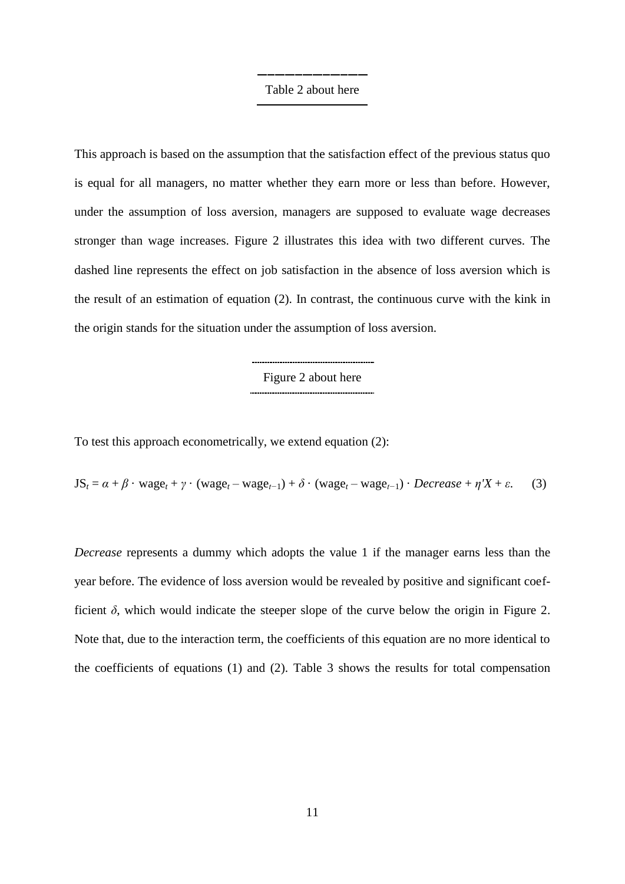## Table 2 about here

This approach is based on the assumption that the satisfaction effect of the previous status quo is equal for all managers, no matter whether they earn more or less than before. However, under the assumption of loss aversion, managers are supposed to evaluate wage decreases stronger than wage increases. Figure 2 illustrates this idea with two different curves. The dashed line represents the effect on job satisfaction in the absence of loss aversion which is the result of an estimation of equation (2). In contrast, the continuous curve with the kink in the origin stands for the situation under the assumption of loss aversion.

> Figure 2 about here

To test this approach econometrically, we extend equation (2):

 $JS_t = \alpha + \beta \cdot \text{wage}_t + \gamma \cdot (\text{wage}_t - \text{wage}_{t-1}) + \delta \cdot (\text{wage}_t - \text{wage}_{t-1}) \cdot \text{Decrease} + \eta'X + \varepsilon.$  (3)

*Decrease* represents a dummy which adopts the value 1 if the manager earns less than the year before. The evidence of loss aversion would be revealed by positive and significant coefficient  $\delta$ , which would indicate the steeper slope of the curve below the origin in Figure 2. Note that, due to the interaction term, the coefficients of this equation are no more identical to the coefficients of equations (1) and (2). Table 3 shows the results for total compensation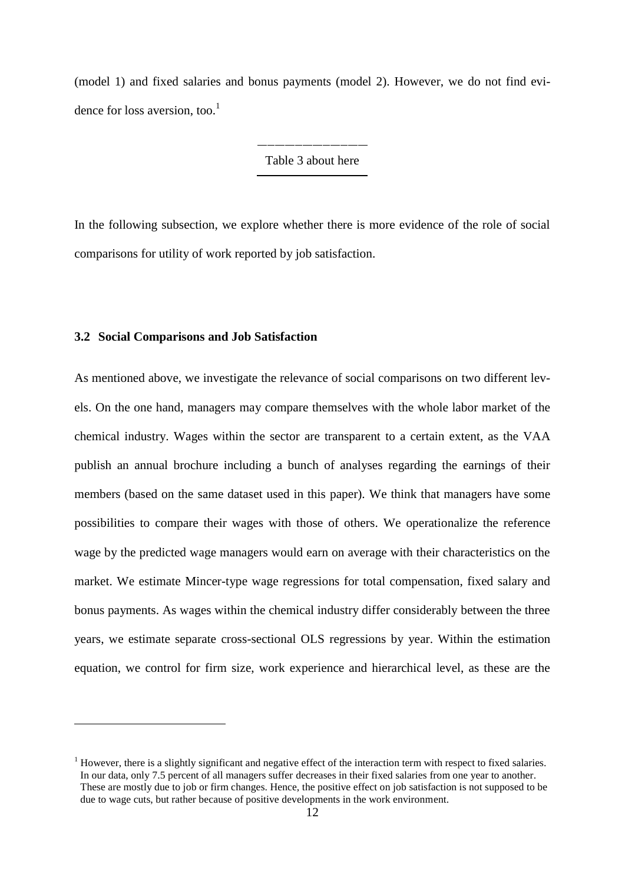(model 1) and fixed salaries and bonus payments (model 2). However, we do not find evidence for loss aversion, too.<sup>1</sup>

Table 3 about here

In the following subsection, we explore whether there is more evidence of the role of social comparisons for utility of work reported by job satisfaction.

#### **3.2 Social Comparisons and Job Satisfaction**

 $\overline{a}$ 

As mentioned above, we investigate the relevance of social comparisons on two different levels. On the one hand, managers may compare themselves with the whole labor market of the chemical industry. Wages within the sector are transparent to a certain extent, as the VAA publish an annual brochure including a bunch of analyses regarding the earnings of their members (based on the same dataset used in this paper). We think that managers have some possibilities to compare their wages with those of others. We operationalize the reference wage by the predicted wage managers would earn on average with their characteristics on the market. We estimate Mincer-type wage regressions for total compensation, fixed salary and bonus payments. As wages within the chemical industry differ considerably between the three years, we estimate separate cross-sectional OLS regressions by year. Within the estimation equation, we control for firm size, work experience and hierarchical level, as these are the

 $<sup>1</sup>$  However, there is a slightly significant and negative effect of the interaction term with respect to fixed salaries.</sup> In our data, only 7.5 percent of all managers suffer decreases in their fixed salaries from one year to another. These are mostly due to job or firm changes. Hence, the positive effect on job satisfaction is not supposed to be due to wage cuts, but rather because of positive developments in the work environment.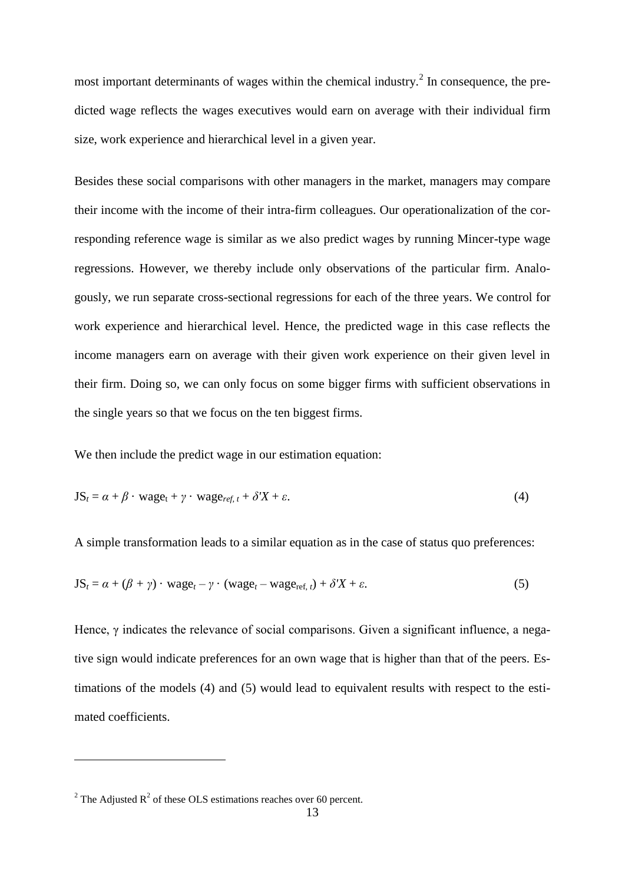most important determinants of wages within the chemical industry.<sup>2</sup> In consequence, the predicted wage reflects the wages executives would earn on average with their individual firm size, work experience and hierarchical level in a given year.

Besides these social comparisons with other managers in the market, managers may compare their income with the income of their intra-firm colleagues. Our operationalization of the corresponding reference wage is similar as we also predict wages by running Mincer-type wage regressions. However, we thereby include only observations of the particular firm. Analogously, we run separate cross-sectional regressions for each of the three years. We control for work experience and hierarchical level. Hence, the predicted wage in this case reflects the income managers earn on average with their given work experience on their given level in their firm. Doing so, we can only focus on some bigger firms with sufficient observations in the single years so that we focus on the ten biggest firms.

We then include the predict wage in our estimation equation:

$$
JSt = \alpha + \beta \cdot \text{wage}_{t} + \gamma \cdot \text{wage}_{ref, t} + \delta'X + \varepsilon.
$$
 (4)

A simple transformation leads to a similar equation as in the case of status quo preferences:

$$
JSt = \alpha + (\beta + \gamma) \cdot \text{wage}_{t} - \gamma \cdot (\text{wage}_{t} - \text{wage}_{ref, t}) + \delta'X + \varepsilon.
$$
 (5)

Hence, γ indicates the relevance of social comparisons. Given a significant influence, a negative sign would indicate preferences for an own wage that is higher than that of the peers. Estimations of the models (4) and (5) would lead to equivalent results with respect to the estimated coefficients.

 $\overline{a}$ 

<sup>&</sup>lt;sup>2</sup> The Adjusted  $R^2$  of these OLS estimations reaches over 60 percent.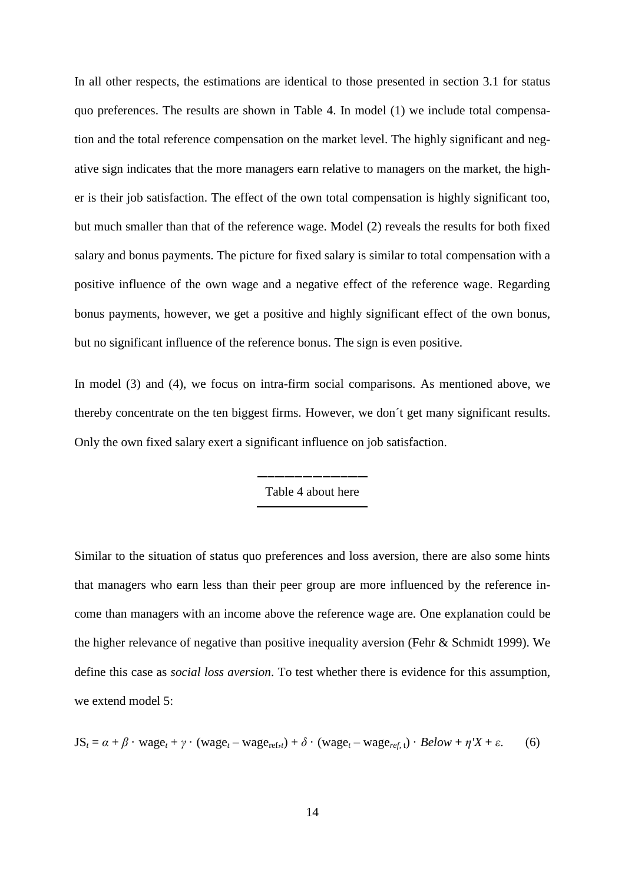In all other respects, the estimations are identical to those presented in section 3.1 for status quo preferences. The results are shown in Table 4. In model (1) we include total compensation and the total reference compensation on the market level. The highly significant and negative sign indicates that the more managers earn relative to managers on the market, the higher is their job satisfaction. The effect of the own total compensation is highly significant too, but much smaller than that of the reference wage. Model (2) reveals the results for both fixed salary and bonus payments. The picture for fixed salary is similar to total compensation with a positive influence of the own wage and a negative effect of the reference wage. Regarding bonus payments, however, we get a positive and highly significant effect of the own bonus, but no significant influence of the reference bonus. The sign is even positive.

In model (3) and (4), we focus on intra-firm social comparisons. As mentioned above, we thereby concentrate on the ten biggest firms. However, we don´t get many significant results. Only the own fixed salary exert a significant influence on job satisfaction.

Table 4 about here

Similar to the situation of status quo preferences and loss aversion, there are also some hints that managers who earn less than their peer group are more influenced by the reference income than managers with an income above the reference wage are. One explanation could be the higher relevance of negative than positive inequality aversion (Fehr & Schmidt 1999). We define this case as *social loss aversion*. To test whether there is evidence for this assumption, we extend model 5:

$$
JSt = \alpha + \beta \cdot \text{wage}_{t} + \gamma \cdot (\text{wage}_{t} - \text{wage}_{ref,t}) + \delta \cdot (\text{wage}_{t} - \text{wage}_{ref,t}) \cdot Below + \eta'X + \varepsilon.
$$
 (6)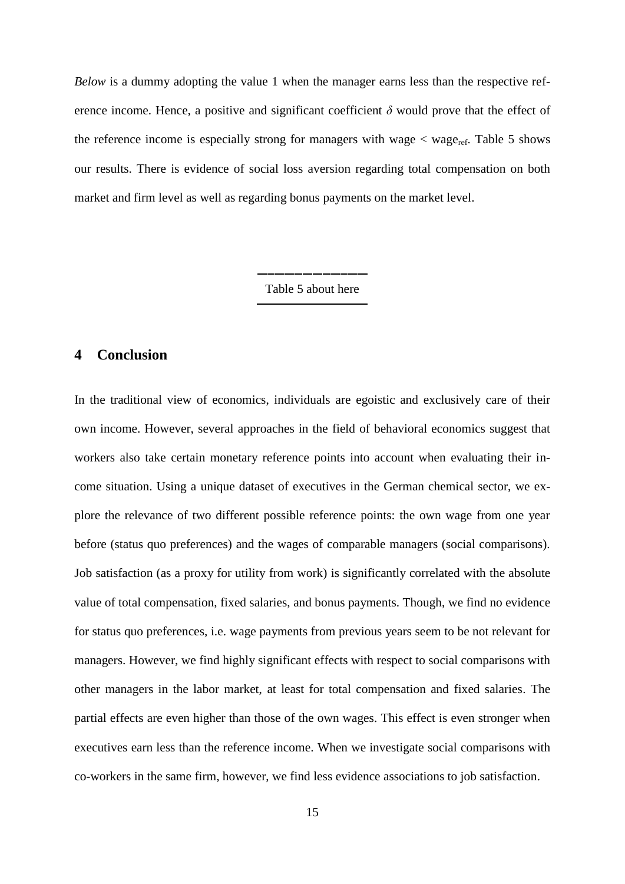*Below* is a dummy adopting the value 1 when the manager earns less than the respective reference income. Hence, a positive and significant coefficient  $\delta$  would prove that the effect of the reference income is especially strong for managers with wage  $\lt$  wage<sub>ref</sub>. Table 5 shows our results. There is evidence of social loss aversion regarding total compensation on both market and firm level as well as regarding bonus payments on the market level.

Table 5 about here

### **4 Conclusion**

In the traditional view of economics, individuals are egoistic and exclusively care of their own income. However, several approaches in the field of behavioral economics suggest that workers also take certain monetary reference points into account when evaluating their income situation. Using a unique dataset of executives in the German chemical sector, we explore the relevance of two different possible reference points: the own wage from one year before (status quo preferences) and the wages of comparable managers (social comparisons). Job satisfaction (as a proxy for utility from work) is significantly correlated with the absolute value of total compensation, fixed salaries, and bonus payments. Though, we find no evidence for status quo preferences, i.e. wage payments from previous years seem to be not relevant for managers. However, we find highly significant effects with respect to social comparisons with other managers in the labor market, at least for total compensation and fixed salaries. The partial effects are even higher than those of the own wages. This effect is even stronger when executives earn less than the reference income. When we investigate social comparisons with co-workers in the same firm, however, we find less evidence associations to job satisfaction.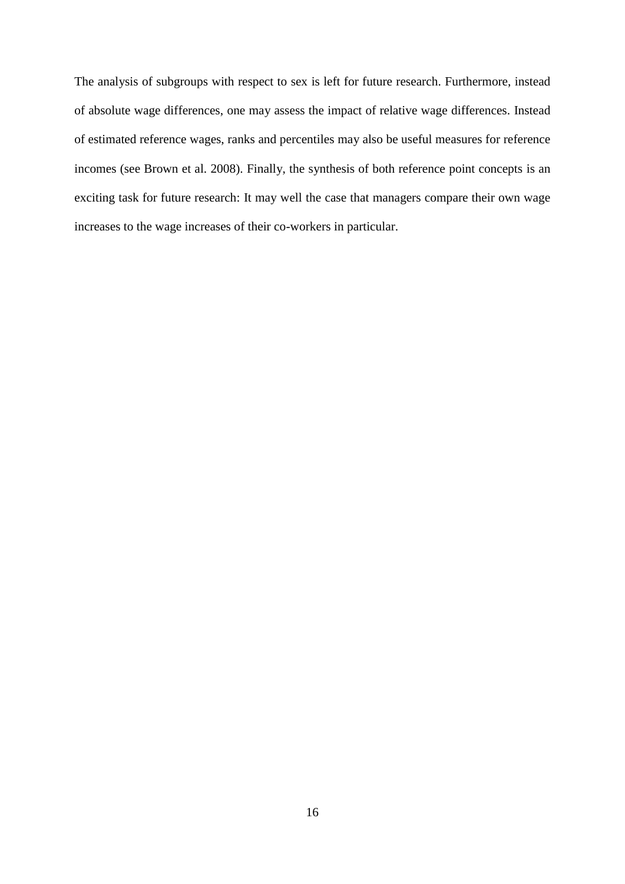The analysis of subgroups with respect to sex is left for future research. Furthermore, instead of absolute wage differences, one may assess the impact of relative wage differences. Instead of estimated reference wages, ranks and percentiles may also be useful measures for reference incomes (see Brown et al. 2008). Finally, the synthesis of both reference point concepts is an exciting task for future research: It may well the case that managers compare their own wage increases to the wage increases of their co-workers in particular.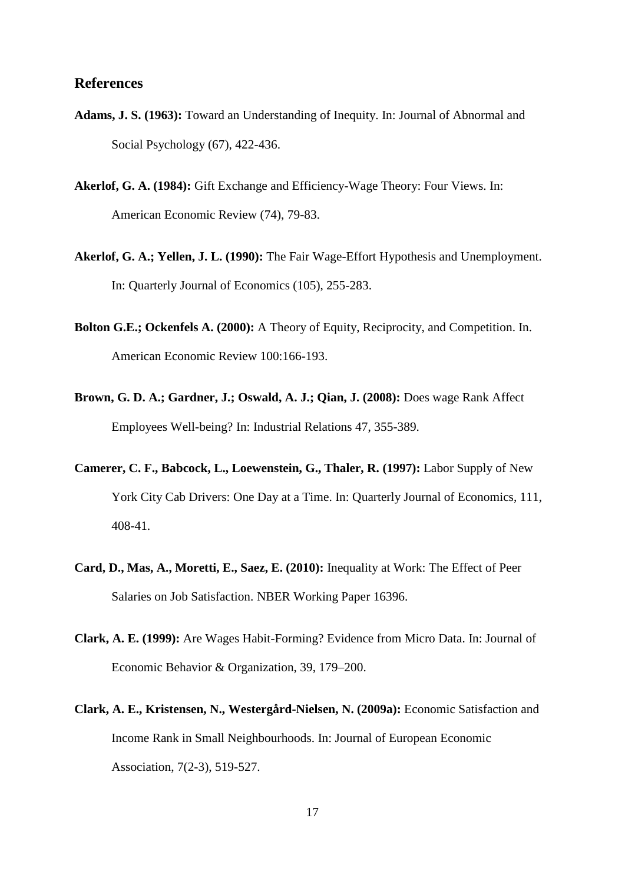### **References**

- **Adams, J. S. (1963):** Toward an Understanding of Inequity. In: Journal of Abnormal and Social Psychology (67), 422-436.
- **Akerlof, G. A. (1984):** Gift Exchange and Efficiency-Wage Theory: Four Views. In: American Economic Review (74), 79-83.
- **Akerlof, G. A.; Yellen, J. L. (1990):** The Fair Wage-Effort Hypothesis and Unemployment. In: Quarterly Journal of Economics (105), 255-283.
- **Bolton G.E.; Ockenfels A. (2000):** A Theory of Equity, Reciprocity, and Competition. In. American Economic Review 100:166-193.
- **Brown, G. D. A.; Gardner, J.; Oswald, A. J.; Qian, J. (2008):** Does wage Rank Affect Employees Well-being? In: Industrial Relations 47, 355-389.
- **Camerer, C. F., Babcock, L., Loewenstein, G., Thaler, R. (1997):** Labor Supply of New York City Cab Drivers: One Day at a Time. In: Quarterly Journal of Economics, 111, 408-41.
- **Card, D., Mas, A., Moretti, E., Saez, E. (2010):** Inequality at Work: The Effect of Peer Salaries on Job Satisfaction. NBER Working Paper 16396.
- **Clark, A. E. (1999):** Are Wages Habit-Forming? Evidence from Micro Data. In: Journal of Economic Behavior & Organization, 39, 179–200.
- **Clark, A. E., Kristensen, N., Westergård-Nielsen, N. (2009a):** Economic Satisfaction and Income Rank in Small Neighbourhoods. In: Journal of European Economic Association, 7(2-3), 519-527.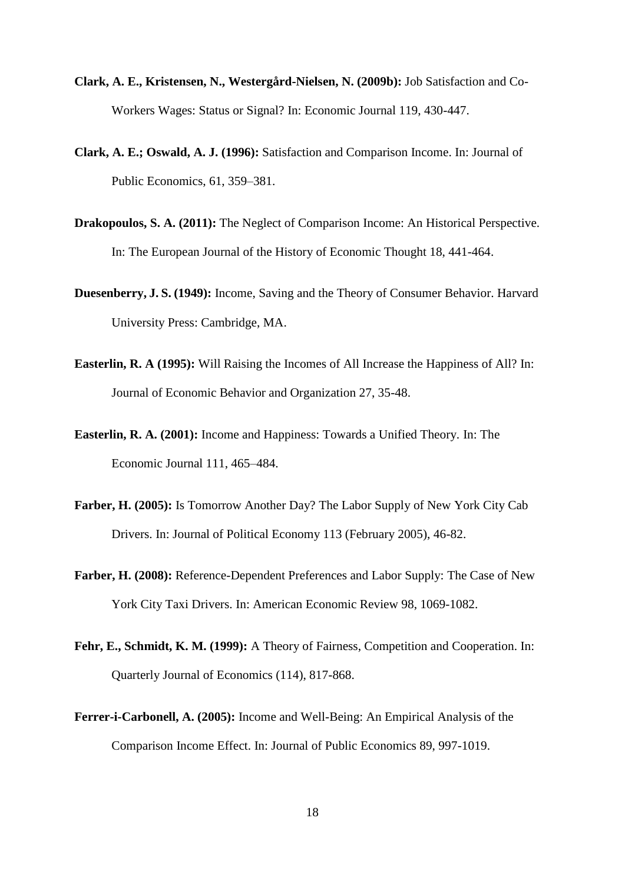- **Clark, A. E., Kristensen, N., Westergård-Nielsen, N. (2009b):** Job Satisfaction and Co-Workers Wages: Status or Signal? In: Economic Journal 119, 430-447.
- **Clark, A. E.; Oswald, A. J. (1996):** Satisfaction and Comparison Income. In: Journal of Public Economics, 61, 359–381.
- **Drakopoulos, S. A. (2011):** The Neglect of Comparison Income: An Historical Perspective. In: The European Journal of the History of Economic Thought 18, 441-464.
- **Duesenberry, J. S. (1949):** Income, Saving and the Theory of Consumer Behavior. Harvard University Press: Cambridge, MA.
- **Easterlin, R. A (1995):** Will Raising the Incomes of All Increase the Happiness of All? In: Journal of Economic Behavior and Organization 27, 35-48.
- **Easterlin, R. A. (2001):** Income and Happiness: Towards a Unified Theory. In: The Economic Journal 111, 465–484.
- **Farber, H. (2005):** Is Tomorrow Another Day? The Labor Supply of New York City Cab Drivers. In: Journal of Political Economy 113 (February 2005), 46-82.
- **Farber, H. (2008):** Reference-Dependent Preferences and Labor Supply: The Case of New York City Taxi Drivers. In: American Economic Review 98, 1069-1082.
- **Fehr, E., Schmidt, K. M. (1999):** A Theory of Fairness, Competition and Cooperation. In: Quarterly Journal of Economics (114), 817-868.
- **Ferrer-i-Carbonell, A. (2005):** Income and Well-Being: An Empirical Analysis of the Comparison Income Effect. In: Journal of Public Economics 89, 997-1019.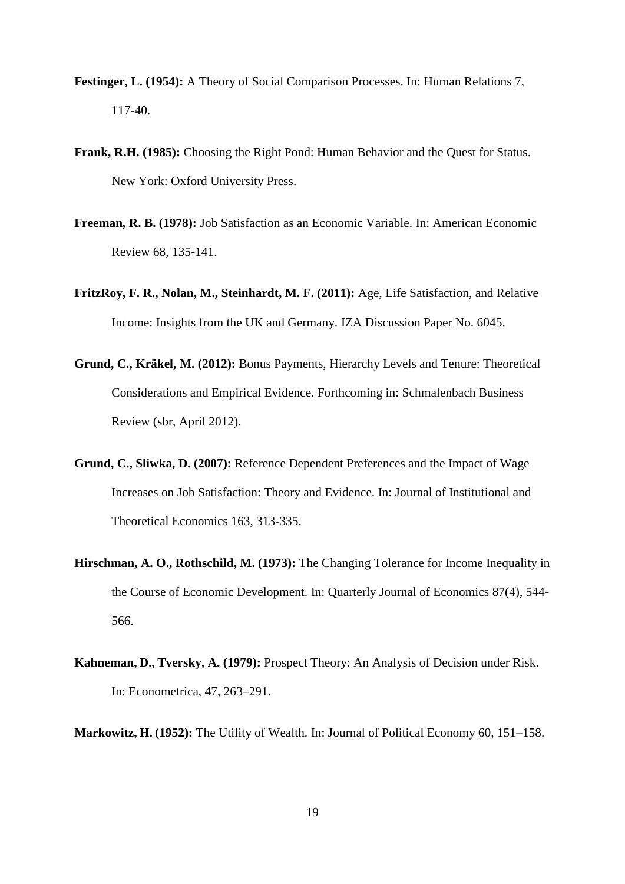- **Festinger, L. (1954):** A Theory of Social Comparison Processes. In: Human Relations 7, 117-40.
- **Frank, R.H. (1985):** Choosing the Right Pond: Human Behavior and the Quest for Status. New York: Oxford University Press.
- **Freeman, R. B. (1978):** Job Satisfaction as an Economic Variable. In: American Economic Review 68, 135-141.
- **FritzRoy, F. R., Nolan, M., Steinhardt, M. F. (2011):** Age, Life Satisfaction, and Relative Income: Insights from the UK and Germany. IZA Discussion Paper No. 6045.
- **Grund, C., Kräkel, M. (2012):** Bonus Payments, Hierarchy Levels and Tenure: Theoretical Considerations and Empirical Evidence. Forthcoming in: Schmalenbach Business Review (sbr, April 2012).
- **Grund, C., Sliwka, D. (2007):** Reference Dependent Preferences and the Impact of Wage Increases on Job Satisfaction: Theory and Evidence. In: Journal of Institutional and Theoretical Economics 163, 313-335.
- **Hirschman, A. O., Rothschild, M. (1973):** The Changing Tolerance for Income Inequality in the Course of Economic Development. In: Quarterly Journal of Economics 87(4), 544- 566.
- **Kahneman, D., Tversky, A. (1979):** Prospect Theory: An Analysis of Decision under Risk. In: Econometrica, 47, 263–291.
- **Markowitz, H. (1952):** The Utility of Wealth. In: Journal of Political Economy 60, 151–158.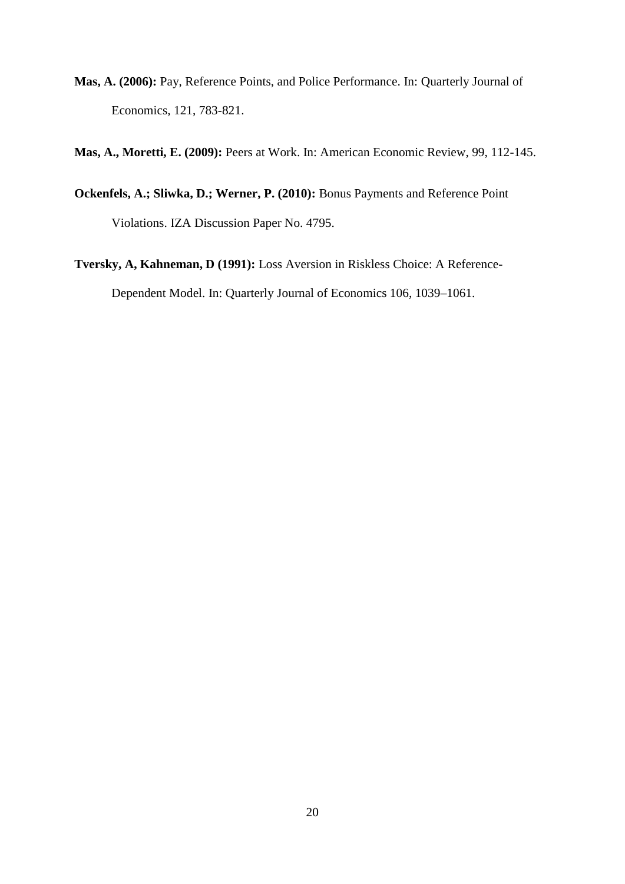**Mas, A. (2006):** Pay, Reference Points, and Police Performance. In: Quarterly Journal of Economics*,* 121, 783-821.

**Mas, A., Moretti, E. (2009):** Peers at Work. In: American Economic Review, 99, 112-145.

- **Ockenfels, A.; Sliwka, D.; Werner, P. (2010):** Bonus Payments and Reference Point Violations. IZA Discussion Paper No. 4795.
- **Tversky, A, Kahneman, D (1991):** Loss Aversion in Riskless Choice: A Reference-Dependent Model. In: Quarterly Journal of Economics 106, 1039–1061.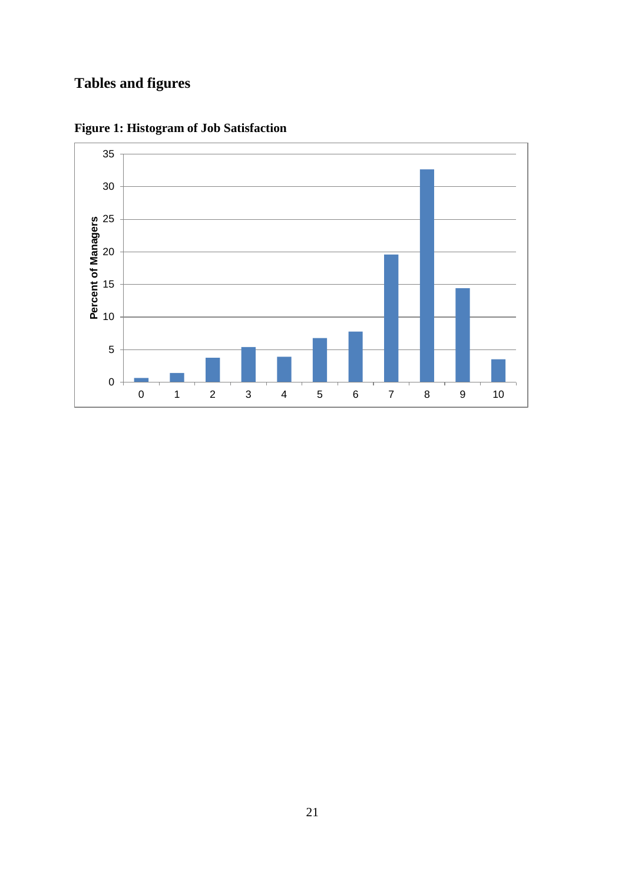# **Tables and figures**



**Figure 1: Histogram of Job Satisfaction**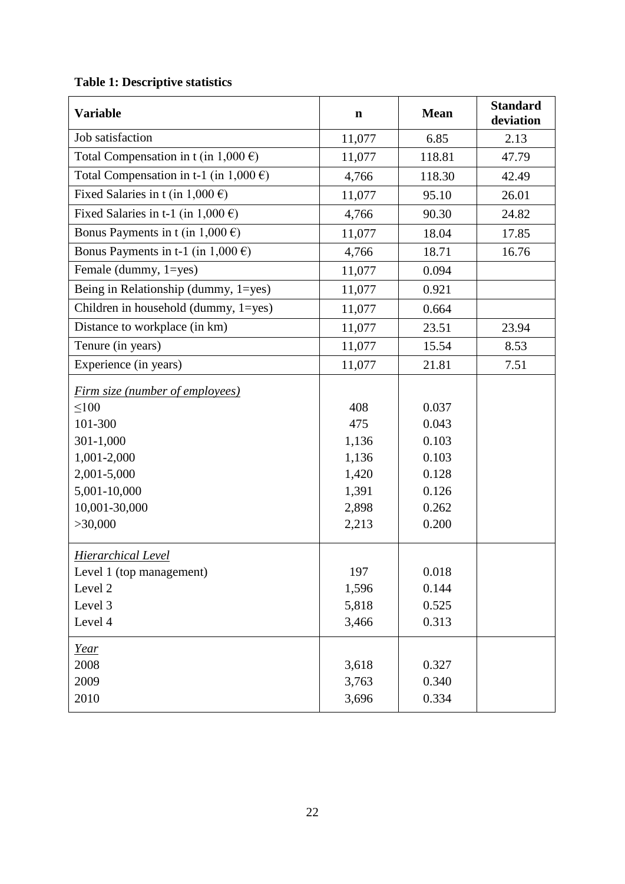# **Table 1: Descriptive statistics**

| <b>Variable</b>                                                                                                                                        | $\mathbf n$                                                      | <b>Mean</b>                                                          | <b>Standard</b><br>deviation |
|--------------------------------------------------------------------------------------------------------------------------------------------------------|------------------------------------------------------------------|----------------------------------------------------------------------|------------------------------|
| Job satisfaction                                                                                                                                       | 11,077                                                           | 6.85                                                                 | 2.13                         |
| Total Compensation in t (in $1,000 \in$ )                                                                                                              | 11,077                                                           | 118.81                                                               | 47.79                        |
| Total Compensation in t-1 (in $1,000 \in$ )                                                                                                            | 4,766                                                            | 118.30                                                               | 42.49                        |
| Fixed Salaries in t (in $1,000 \in$ )                                                                                                                  | 11,077                                                           | 95.10                                                                | 26.01                        |
| Fixed Salaries in t-1 (in $1,000 \in$ )                                                                                                                | 4,766                                                            | 90.30                                                                | 24.82                        |
| Bonus Payments in t (in $1,000 \in$ )                                                                                                                  | 11,077                                                           | 18.04                                                                | 17.85                        |
| Bonus Payments in t-1 (in $1,000 \in$ )                                                                                                                | 4,766                                                            | 18.71                                                                | 16.76                        |
| Female (dummy, 1=yes)                                                                                                                                  | 11,077                                                           | 0.094                                                                |                              |
| Being in Relationship (dummy, 1=yes)                                                                                                                   | 11,077                                                           | 0.921                                                                |                              |
| Children in household (dummy, 1=yes)                                                                                                                   | 11,077                                                           | 0.664                                                                |                              |
| Distance to workplace (in km)                                                                                                                          | 11,077                                                           | 23.51                                                                | 23.94                        |
| Tenure (in years)                                                                                                                                      | 11,077                                                           | 15.54                                                                | 8.53                         |
| Experience (in years)                                                                                                                                  | 11,077                                                           | 21.81                                                                | 7.51                         |
| <u>Firm size (number of employees)</u><br>$\leq 100$<br>101-300<br>301-1,000<br>1,001-2,000<br>2,001-5,000<br>5,001-10,000<br>10,001-30,000<br>>30,000 | 408<br>475<br>1,136<br>1,136<br>1,420<br>1,391<br>2,898<br>2,213 | 0.037<br>0.043<br>0.103<br>0.103<br>0.128<br>0.126<br>0.262<br>0.200 |                              |
| <b>Hierarchical Level</b><br>Level 1 (top management)<br>Level 2<br>Level 3<br>Level 4<br><u>Year</u>                                                  | 197<br>1,596<br>5,818<br>3,466                                   | 0.018<br>0.144<br>0.525<br>0.313                                     |                              |
| 2008<br>2009<br>2010                                                                                                                                   | 3,618<br>3,763<br>3,696                                          | 0.327<br>0.340<br>0.334                                              |                              |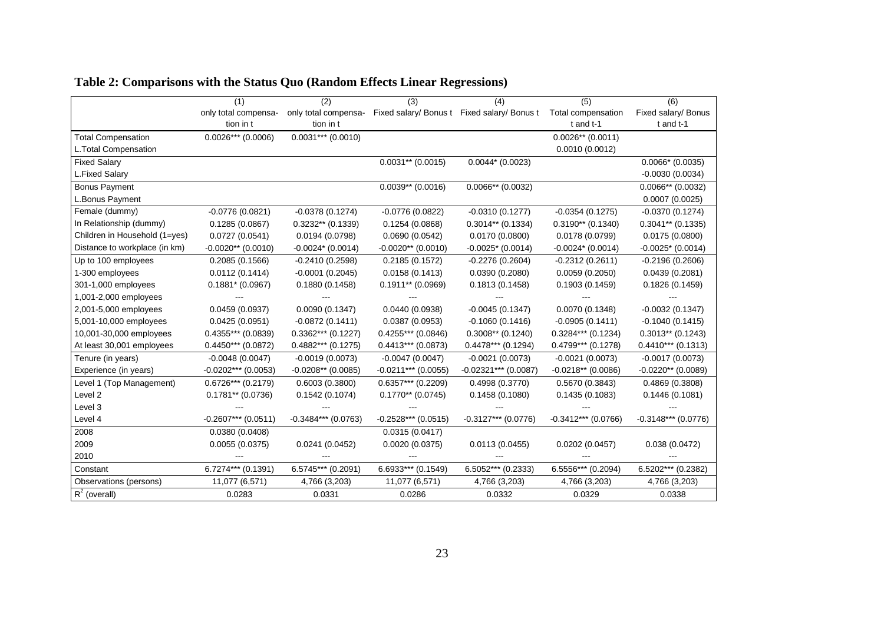|                               | (1)                   | (2)                   | (3)                   | (4)                                         | (5)                   | (6)                   |
|-------------------------------|-----------------------|-----------------------|-----------------------|---------------------------------------------|-----------------------|-----------------------|
|                               | only total compensa-  | only total compensa-  |                       | Fixed salary/ Bonus t Fixed salary/ Bonus t | Total compensation    | Fixed salary/ Bonus   |
|                               | tion in t             | tion in t             |                       |                                             | t and t-1             | t and t-1             |
| <b>Total Compensation</b>     | $0.0026***$ (0.0006)  | $0.0031***$ (0.0010)  |                       |                                             | $0.0026**$ (0.0011)   |                       |
| L.Total Compensation          |                       |                       |                       |                                             | 0.0010(0.0012)        |                       |
| <b>Fixed Salary</b>           |                       |                       | $0.0031**$ (0.0015)   | $0.0044*$ (0.0023)                          |                       | $0.0066*$ (0.0035)    |
| L.Fixed Salary                |                       |                       |                       |                                             |                       | $-0.0030(0.0034)$     |
| <b>Bonus Payment</b>          |                       |                       | $0.0039**$ (0.0016)   | $0.0066**$ (0.0032)                         |                       | $0.0066**$ (0.0032)   |
| L.Bonus Payment               |                       |                       |                       |                                             |                       | 0.0007(0.0025)        |
| Female (dummy)                | $-0.0776(0.0821)$     | $-0.0378(0.1274)$     | $-0.0776(0.0822)$     | $-0.0310(0.1277)$                           | $-0.0354(0.1275)$     | $-0.0370(0.1274)$     |
| In Relationship (dummy)       | 0.1285(0.0867)        | $0.3232**$ (0.1339)   | 0.1254(0.0868)        | $0.3014**$ (0.1334)                         | $0.3190**$ (0.1340)   | $0.3041**$ (0.1335)   |
| Children in Household (1=yes) | 0.0727(0.0541)        | 0.0194(0.0798)        | 0.0690(0.0542)        | 0.0170(0.0800)                              | 0.0178(0.0799)        | 0.0175(0.0800)        |
| Distance to workplace (in km) | $-0.0020**$ (0.0010)  | $-0.0024*$ (0.0014)   | $-0.0020**$ (0.0010)  | $-0.0025$ * (0.0014)                        | $-0.0024*$ (0.0014)   | $-0.0025$ * (0.0014)  |
| Up to 100 employees           | 0.2085(0.1566)        | $-0.2410(0.2598)$     | 0.2185(0.1572)        | $-0.2276(0.2604)$                           | $-0.2312(0.2611)$     | $-0.2196(0.2606)$     |
| 1-300 employees               | 0.0112(0.1414)        | $-0.0001(0.2045)$     | 0.0158(0.1413)        | 0.0390(0.2080)                              | 0.0059(0.2050)        | 0.0439(0.2081)        |
| 301-1,000 employees           | $0.1881* (0.0967)$    | 0.1880(0.1458)        | $0.1911**$ (0.0969)   | 0.1813(0.1458)                              | 0.1903(0.1459)        | 0.1826(0.1459)        |
| 1,001-2,000 employees         |                       |                       |                       |                                             |                       |                       |
| 2,001-5,000 employees         | 0.0459(0.0937)        | 0.0090(0.1347)        | 0.0440(0.0938)        | $-0.0045(0.1347)$                           | 0.0070(0.1348)        | $-0.0032(0.1347)$     |
| 5,001-10,000 employees        | 0.0425(0.0951)        | $-0.0872(0.1411)$     | 0.0387(0.0953)        | $-0.1060(0.1416)$                           | $-0.0905(0.1411)$     | $-0.1040(0.1415)$     |
| 10,001-30,000 employees       | $0.4355***$ (0.0839)  | $0.3362***$ (0.1227)  | $0.4255***$ (0.0846)  | $0.3008**$ (0.1240)                         | $0.3284***$ (0.1234)  | $0.3013**$ (0.1243)   |
| At least 30,001 employees     | $0.4450***$ (0.0872)  | $0.4882***$ (0.1275)  | $0.4413***$ (0.0873)  | $0.4478***$ (0.1294)                        | $0.4799***$ (0.1278)  | $0.4410***$ (0.1313)  |
| Tenure (in years)             | $-0.0048(0.0047)$     | $-0.0019(0.0073)$     | $-0.0047(0.0047)$     | $-0.0021(0.0073)$                           | $-0.0021(0.0073)$     | $-0.0017(0.0073)$     |
| Experience (in years)         | $-0.0202***$ (0.0053) | $-0.0208**$ (0.0085)  | $-0.0211***$ (0.0055) | $-0.02321***$ (0.0087)                      | $-0.0218**$ (0.0086)  | $-0.0220**$ (0.0089)  |
| Level 1 (Top Management)      | $0.6726***$ (0.2179)  | 0.6003(0.3800)        | $0.6357***$ (0.2209)  | 0.4998(0.3770)                              | 0.5670(0.3843)        | 0.4869(0.3808)        |
| Level 2                       | $0.1781**$ (0.0736)   | 0.1542(0.1074)        | $0.1770**$ (0.0745)   | 0.1458(0.1080)                              | 0.1435(0.1083)        | 0.1446(0.1081)        |
| Level 3                       |                       |                       |                       |                                             |                       |                       |
| Level 4                       | $-0.2607***$ (0.0511) | $-0.3484***$ (0.0763) | $-0.2528***$ (0.0515) | $-0.3127***$ (0.0776)                       | $-0.3412***$ (0.0766) | $-0.3148***$ (0.0776) |
| 2008                          | 0.0380(0.0408)        |                       | 0.0315(0.0417)        |                                             |                       |                       |
| 2009                          | 0.0055(0.0375)        | 0.0241(0.0452)        | 0.0020(0.0375)        | 0.0113(0.0455)                              | 0.0202(0.0457)        | 0.038(0.0472)         |
| 2010                          |                       |                       |                       |                                             |                       |                       |
| Constant                      | 6.7274*** (0.1391)    | $6.5745***$ (0.2091)  | 6.6933*** (0.1549)    | $6.5052***$ (0.2333)                        | 6.5556*** (0.2094)    | $6.5202***$ (0.2382)  |
| Observations (persons)        | 11,077 (6,571)        | 4,766 (3,203)         | 11,077 (6,571)        | 4,766 (3,203)                               | 4,766 (3,203)         | 4,766 (3,203)         |
| $R^2$ (overall)               | 0.0283                | 0.0331                | 0.0286                | 0.0332                                      | 0.0329                | 0.0338                |

## **Table 2: Comparisons with the Status Quo (Random Effects Linear Regressions)**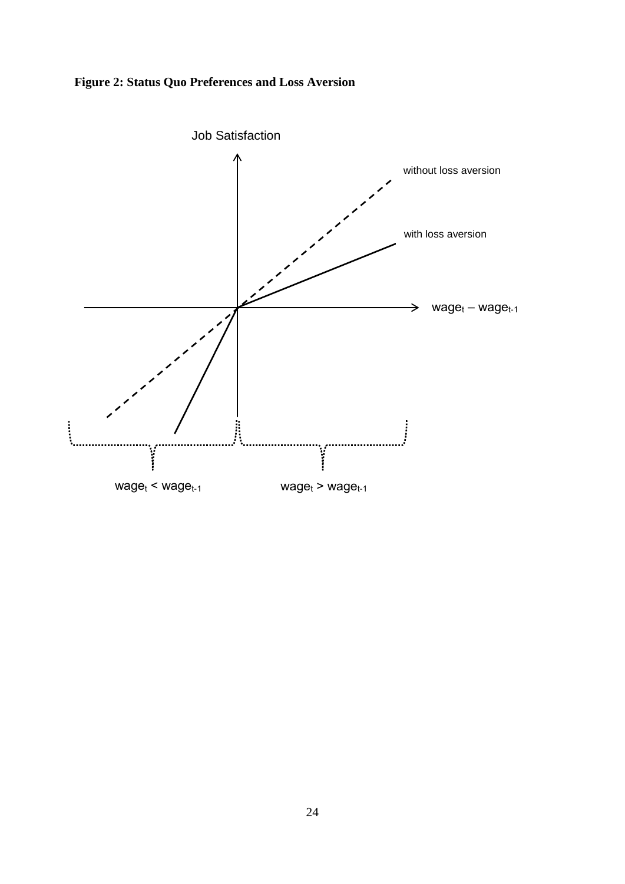

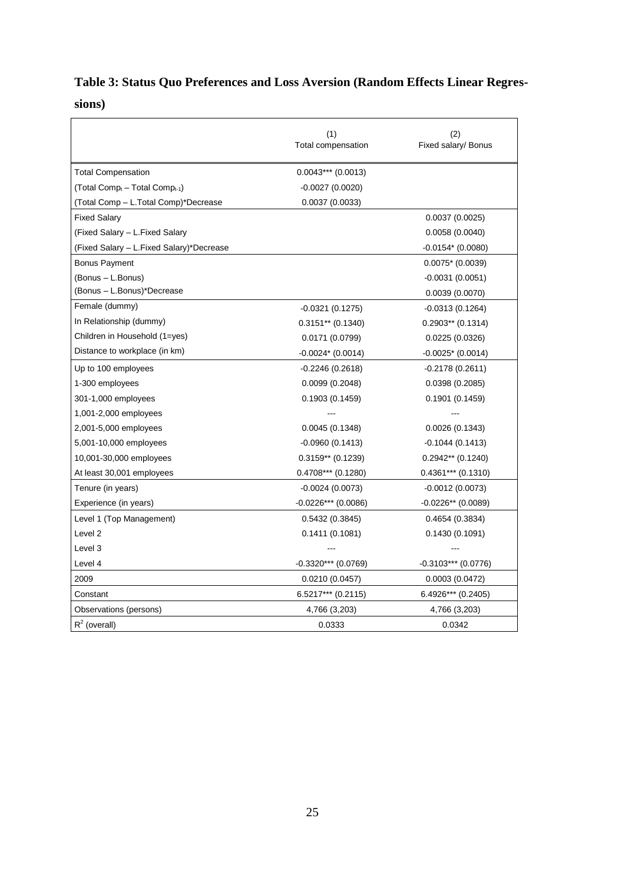# **Table 3: Status Quo Preferences and Loss Aversion (Random Effects Linear Regressions)**

|                                                        | (1)<br>Total compensation | (2)<br>Fixed salary/ Bonus |
|--------------------------------------------------------|---------------------------|----------------------------|
| <b>Total Compensation</b>                              | $0.0043***$ (0.0013)      |                            |
| (Total Comp <sub>t</sub> – Total Comp <sub>t-1</sub> ) | $-0.0027(0.0020)$         |                            |
| (Total Comp - L.Total Comp)*Decrease                   | 0.0037(0.0033)            |                            |
| <b>Fixed Salary</b>                                    |                           | 0.0037(0.0025)             |
| (Fixed Salary – L.Fixed Salary)                        |                           | 0.0058(0.0040)             |
| (Fixed Salary - L.Fixed Salary)*Decrease               |                           | $-0.0154*(0.0080)$         |
| <b>Bonus Payment</b>                                   |                           | $0.0075*$ (0.0039)         |
| (Bonus - L.Bonus)                                      |                           | $-0.0031(0.0051)$          |
| (Bonus - L.Bonus)*Decrease                             |                           | 0.0039(0.0070)             |
| Female (dummy)                                         | $-0.0321(0.1275)$         | $-0.0313(0.1264)$          |
| In Relationship (dummy)                                | $0.3151**$ (0.1340)       | $0.2903**$ (0.1314)        |
| Children in Household (1=yes)                          | 0.0171(0.0799)            | 0.0225(0.0326)             |
| Distance to workplace (in km)                          | $-0.0024$ $(0.0014)$      | $-0.0025$ * (0.0014)       |
| Up to 100 employees                                    | $-0.2246(0.2618)$         | $-0.2178(0.2611)$          |
| 1-300 employees                                        | 0.0099(0.2048)            | 0.0398(0.2085)             |
| 301-1,000 employees                                    | 0.1903(0.1459)            | 0.1901(0.1459)             |
| 1,001-2,000 employees                                  |                           |                            |
| 2,001-5,000 employees                                  | 0.0045(0.1348)            | 0.0026(0.1343)             |
| 5,001-10,000 employees                                 | $-0.0960(0.1413)$         | $-0.1044(0.1413)$          |
| 10,001-30,000 employees                                | $0.3159**$ (0.1239)       | $0.2942**$ (0.1240)        |
| At least 30,001 employees                              | $0.4708***$ (0.1280)      | $0.4361***$ (0.1310)       |
| Tenure (in years)                                      | $-0.0024(0.0073)$         | $-0.0012(0.0073)$          |
| Experience (in years)                                  | $-0.0226***$ (0.0086)     | $-0.0226**$ (0.0089)       |
| Level 1 (Top Management)                               | 0.5432(0.3845)            | 0.4654(0.3834)             |
| Level <sub>2</sub>                                     | 0.1411(0.1081)            | 0.1430(0.1091)             |
| Level 3                                                |                           |                            |
| Level 4                                                | $-0.3320***$ (0.0769)     | $-0.3103***$ (0.0776)      |
| 2009                                                   | 0.0210(0.0457)            | 0.0003(0.0472)             |
| Constant                                               | $6.5217***$ (0.2115)      | $6.4926***$ (0.2405)       |
| Observations (persons)                                 | 4,766 (3,203)             | 4,766 (3,203)              |
| $R^2$ (overall)                                        | 0.0333                    | 0.0342                     |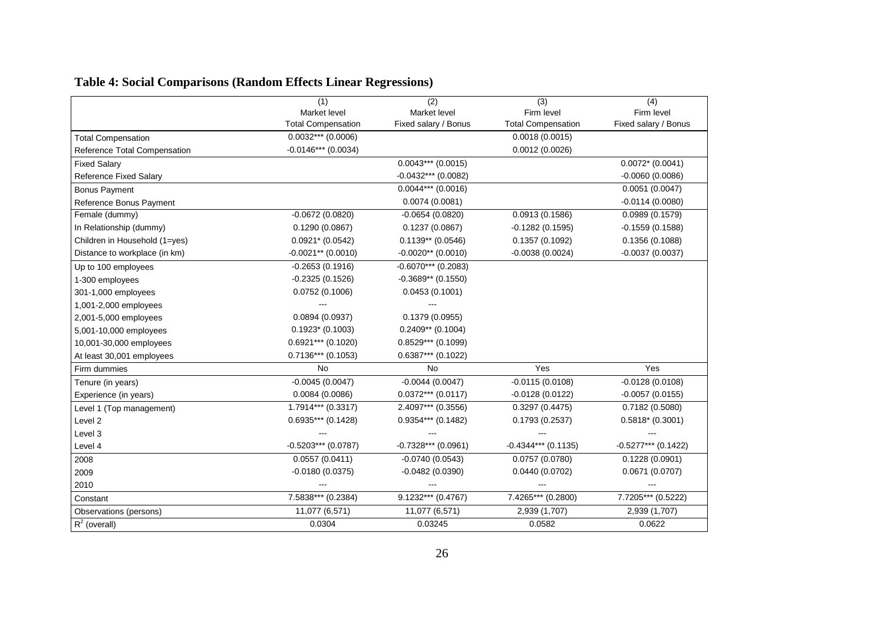|                               | (1)                       | $\overline{(2)}$      | (3)                       | $\overline{(4)}$      |
|-------------------------------|---------------------------|-----------------------|---------------------------|-----------------------|
|                               | Market level              | Market level          | Firm level                | Firm level            |
|                               | <b>Total Compensation</b> | Fixed salary / Bonus  | <b>Total Compensation</b> | Fixed salary / Bonus  |
| <b>Total Compensation</b>     | $0.0032***$ (0.0006)      |                       | 0.0018(0.0015)            |                       |
| Reference Total Compensation  | $-0.0146***$ (0.0034)     |                       | 0.0012(0.0026)            |                       |
| <b>Fixed Salary</b>           |                           | $0.0043***$ (0.0015)  |                           | $0.0072* (0.0041)$    |
| <b>Reference Fixed Salary</b> |                           | $-0.0432***$ (0.0082) |                           | $-0.0060(0.0086)$     |
| <b>Bonus Payment</b>          |                           | $0.0044***$ (0.0016)  |                           | 0.0051(0.0047)        |
| Reference Bonus Payment       |                           | 0.0074(0.0081)        |                           | $-0.0114(0.0080)$     |
| Female (dummy)                | $-0.0672(0.0820)$         | $-0.0654(0.0820)$     | 0.0913(0.1586)            | 0.0989(0.1579)        |
| In Relationship (dummy)       | 0.1290(0.0867)            | 0.1237(0.0867)        | $-0.1282(0.1595)$         | $-0.1559(0.1588)$     |
| Children in Household (1=yes) | $0.0921* (0.0542)$        | $0.1139**$ (0.0546)   | 0.1357(0.1092)            | 0.1356(0.1088)        |
| Distance to workplace (in km) | $-0.0021**$ (0.0010)      | $-0.0020**$ (0.0010)  | $-0.0038(0.0024)$         | $-0.0037(0.0037)$     |
| Up to 100 employees           | $-0.2653(0.1916)$         | $-0.6070***$ (0.2083) |                           |                       |
| 1-300 employees               | $-0.2325(0.1526)$         | $-0.3689**$ (0.1550)  |                           |                       |
| 301-1,000 employees           | 0.0752(0.1006)            | 0.0453(0.1001)        |                           |                       |
| 1,001-2,000 employees         |                           |                       |                           |                       |
| 2,001-5,000 employees         | 0.0894(0.0937)            | 0.1379(0.0955)        |                           |                       |
| 5,001-10,000 employees        | $0.1923*$ (0.1003)        | $0.2409**$ (0.1004)   |                           |                       |
| 10,001-30,000 employees       | $0.6921***$ (0.1020)      | $0.8529***$ (0.1099)  |                           |                       |
| At least 30,001 employees     | $0.7136***$ (0.1053)      | $0.6387***$ (0.1022)  |                           |                       |
| Firm dummies                  | <b>No</b>                 | No                    | Yes                       | Yes                   |
| Tenure (in years)             | $-0.0045(0.0047)$         | $-0.0044(0.0047)$     | $-0.0115(0.0108)$         | $-0.0128(0.0108)$     |
| Experience (in years)         | 0.0084(0.0086)            | $0.0372***$ (0.0117)  | $-0.0128(0.0122)$         | $-0.0057(0.0155)$     |
| Level 1 (Top management)      | 1.7914*** (0.3317)        | 2.4097*** (0.3556)    | 0.3297(0.4475)            | 0.7182(0.5080)        |
| Level 2                       | $0.6935***$ (0.1428)      | $0.9354***$ (0.1482)  | 0.1793(0.2537)            | $0.5818*(0.3001)$     |
| Level 3                       |                           |                       |                           |                       |
| Level 4                       | $-0.5203***$ (0.0787)     | $-0.7328***$ (0.0961) | $-0.4344***$ (0.1135)     | $-0.5277***$ (0.1422) |
| 2008                          | 0.0557(0.0411)            | $-0.0740(0.0543)$     | 0.0757(0.0780)            | 0.1228(0.0901)        |
| 2009                          | $-0.0180(0.0375)$         | $-0.0482(0.0390)$     | 0.0440(0.0702)            | 0.0671(0.0707)        |
| 2010                          |                           |                       |                           |                       |
| Constant                      | 7.5838*** (0.2384)        | $9.1232***$ (0.4767)  | 7.4265*** (0.2800)        | 7.7205*** (0.5222)    |
| Observations (persons)        | 11,077 (6,571)            | 11,077 (6,571)        | 2,939 (1,707)             | 2,939 (1,707)         |
| $R^2$ (overall)               | 0.0304                    | 0.03245               | 0.0582                    | 0.0622                |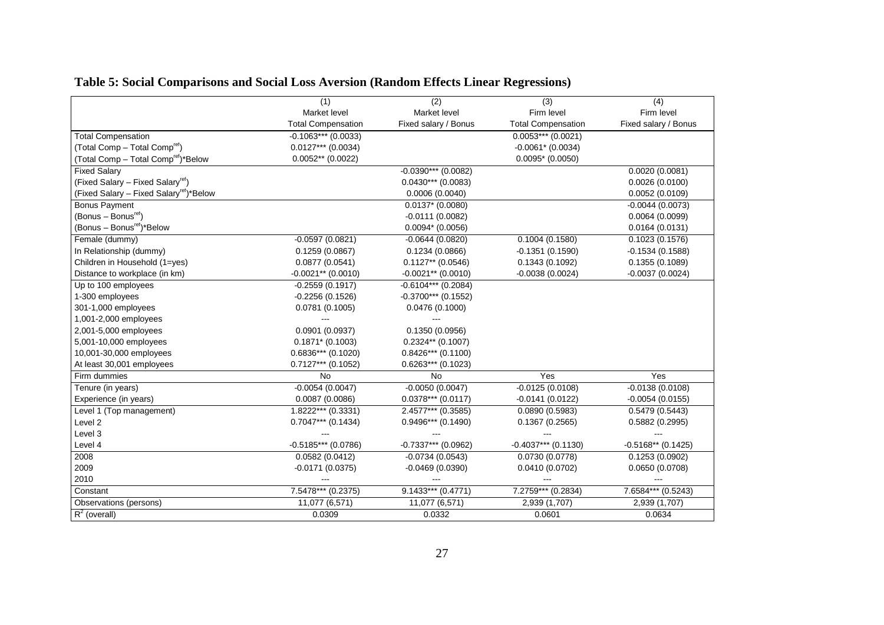|                                                     | (1)                       | $\overline{(2)}$      | (3)                       | (4)                  |
|-----------------------------------------------------|---------------------------|-----------------------|---------------------------|----------------------|
|                                                     | Market level              | Market level          | Firm level                | Firm level           |
|                                                     | <b>Total Compensation</b> | Fixed salary / Bonus  | <b>Total Compensation</b> | Fixed salary / Bonus |
| <b>Total Compensation</b>                           | $-0.1063***$ (0.0033)     |                       | $0.0053***$ (0.0021)      |                      |
| (Total Comp - Total Comp <sup>ref</sup> )           | $0.0127***$ (0.0034)      |                       | $-0.0061*$ (0.0034)       |                      |
| (Total Comp - Total Comp <sup>ret</sup> )*Below     | $0.0052**$ (0.0022)       |                       | $0.0095*$ (0.0050)        |                      |
| <b>Fixed Salary</b>                                 |                           | $-0.0390***$ (0.0082) |                           | 0.0020(0.0081)       |
| (Fixed Salary – Fixed Salary <sup>ret</sup> )       |                           | $0.0430***$ (0.0083)  |                           | 0.0026(0.0100)       |
| (Fixed Salary - Fixed Salary <sup>ret</sup> )*Below |                           | 0.0006(0.0040)        |                           | 0.0052(0.0109)       |
| <b>Bonus Payment</b>                                |                           | $0.0137* (0.0080)$    |                           | $-0.0044(0.0073)$    |
| (Bonus – Bonus <sup>ret</sup> )                     |                           | $-0.0111(0.0082)$     |                           | 0.0064(0.0099)       |
| (Bonus – Bonus <sup>ref</sup> )*Below               |                           | $0.0094*$ (0.0056)    |                           | 0.0164(0.0131)       |
| Female (dummy)                                      | $-0.0597(0.0821)$         | $-0.0644(0.0820)$     | 0.1004(0.1580)            | 0.1023(0.1576)       |
| In Relationship (dummy)                             | 0.1259(0.0867)            | 0.1234(0.0866)        | $-0.1351(0.1590)$         | $-0.1534(0.1588)$    |
| Children in Household (1=yes)                       | 0.0877(0.0541)            | $0.1127**$ (0.0546)   | 0.1343(0.1092)            | 0.1355(0.1089)       |
| Distance to workplace (in km)                       | $-0.0021**$ (0.0010)      | $-0.0021**$ (0.0010)  | $-0.0038(0.0024)$         | $-0.0037(0.0024)$    |
| Up to 100 employees                                 | $-0.2559(0.1917)$         | $-0.6104***$ (0.2084) |                           |                      |
| 1-300 employees                                     | $-0.2256(0.1526)$         | $-0.3700***$ (0.1552) |                           |                      |
| 301-1,000 employees                                 | 0.0781(0.1005)            | 0.0476(0.1000)        |                           |                      |
| 1,001-2,000 employees                               |                           |                       |                           |                      |
| 2,001-5,000 employees                               | 0.0901(0.0937)            | 0.1350(0.0956)        |                           |                      |
| 5,001-10,000 employees                              | $0.1871* (0.1003)$        | $0.2324**$ (0.1007)   |                           |                      |
| 10,001-30,000 employees                             | $0.6836***$ (0.1020)      | $0.8426***$ (0.1100)  |                           |                      |
| At least 30,001 employees                           | $0.7127***$ (0.1052)      | $0.6263***$ (0.1023)  |                           |                      |
| Firm dummies                                        | No                        | No                    | Yes                       | Yes                  |
| Tenure (in years)                                   | $-0.0054(0.0047)$         | $-0.0050(0.0047)$     | $-0.0125(0.0108)$         | $-0.0138(0.0108)$    |
| Experience (in years)                               | 0.0087(0.0086)            | $0.0378***$ (0.0117)  | $-0.0141(0.0122)$         | $-0.0054(0.0155)$    |
| Level 1 (Top management)                            | $1.8222***$ (0.3331)      | 2.4577*** (0.3585)    | 0.0890(0.5983)            | 0.5479(0.5443)       |
| Level <sub>2</sub>                                  | $0.7047***$ (0.1434)      | $0.9496***$ (0.1490)  | 0.1367(0.2565)            | 0.5882(0.2995)       |
| Level 3                                             |                           |                       |                           |                      |
| Level 4                                             | $-0.5185***$ (0.0786)     | -0.7337*** (0.0962)   | $-0.4037***$ (0.1130)     | $-0.5168**$ (0.1425) |
| 2008                                                | 0.0582(0.0412)            | $-0.0734(0.0543)$     | 0.0730(0.0778)            | 0.1253(0.0902)       |
| 2009                                                | $-0.0171(0.0375)$         | $-0.0469(0.0390)$     | 0.0410(0.0702)            | 0.0650(0.0708)       |
| 2010                                                |                           |                       |                           |                      |
| Constant                                            | 7.5478*** (0.2375)        | $9.1433***$ (0.4771)  | 7.2759*** (0.2834)        | 7.6584*** (0.5243)   |
| Observations (persons)                              | 11,077 (6,571)            | 11,077 (6,571)        | 2,939 (1,707)             | 2,939 (1,707)        |
| $R^2$ (overall)                                     | 0.0309                    | 0.0332                | 0.0601                    | 0.0634               |

## **Table 5: Social Comparisons and Social Loss Aversion (Random Effects Linear Regressions)**